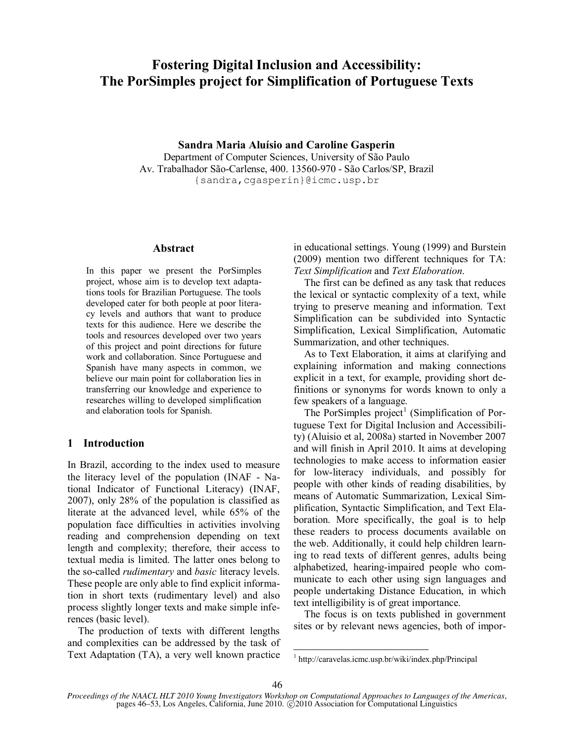# **Fostering Digital Inclusion and Accessibility: The PorSimples project for Simplification of Portuguese Texts**

**Sandra Maria Aluísio and Caroline Gasperin** Department of Computer Sciences, University of São Paulo Av. Trabalhador São-Carlense, 400. 13560-970 - São Carlos/SP, Brazil {sandra,cgasperin}@icmc.usp.br

## **Abstract**

In this paper we present the PorSimples project, whose aim is to develop text adaptations tools for Brazilian Portuguese. The tools developed cater for both people at poor literacy levels and authors that want to produce texts for this audience. Here we describe the tools and resources developed over two years of this project and point directions for future work and collaboration. Since Portuguese and Spanish have many aspects in common, we believe our main point for collaboration lies in transferring our knowledge and experience to researches willing to developed simplification and elaboration tools for Spanish.

# **1 Introduction**

In Brazil, according to the index used to measure the literacy level of the population (INAF - National Indicator of Functional Literacy) (INAF, 2007), only 28% of the population is classified as literate at the advanced level, while 65% of the population face difficulties in activities involving reading and comprehension depending on text length and complexity; therefore, their access to textual media is limited. The latter ones belong to the so-called *rudimentary* and *basic* literacy levels. These people are only able to find explicit information in short texts (rudimentary level) and also process slightly longer texts and make simple inferences (basic level).

The production of texts with different lengths and complexities can be addressed by the task of Text Adaptation (TA), a very well known practice in educational settings. Young (1999) and Burstein (2009) mention two different techniques for TA: *Text Simplification* and *Text Elaboration*.

The first can be defined as any task that reduces the lexical or syntactic complexity of a text, while trying to preserve meaning and information. Text Simplification can be subdivided into Syntactic Simplification, Lexical Simplification, Automatic Summarization, and other techniques.

As to Text Elaboration, it aims at clarifying and explaining information and making connections explicit in a text, for example, providing short definitions or synonyms for words known to only a few speakers of a language.

The PorSimples project<sup>1</sup> (Simplification of Portuguese Text for Digital Inclusion and Accessibility) (Aluisio et al, 2008a) started in November 2007 and will finish in April 2010. It aims at developing technologies to make access to information easier for low-literacy individuals, and possibly for people with other kinds of reading disabilities, by means of Automatic Summarization, Lexical Simplification, Syntactic Simplification, and Text Elaboration. More specifically, the goal is to help these readers to process documents available on the web. Additionally, it could help children learning to read texts of different genres, adults being alphabetized, hearing-impaired people who communicate to each other using sign languages and people undertaking Distance Education, in which text intelligibility is of great importance.

The focus is on texts published in government sites or by relevant news agencies, both of impor-

<sup>1</sup> http://caravelas.icmc.usp.br/wiki/index.php/Principal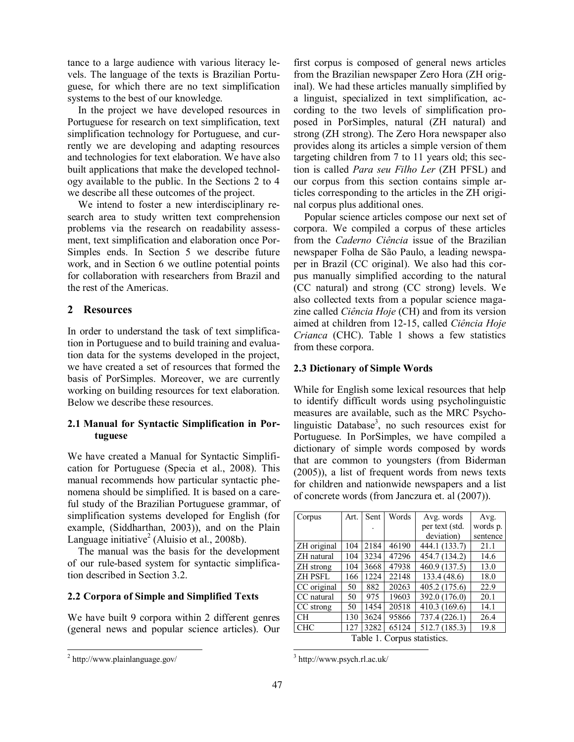tance to a large audience with various literacy levels. The language of the texts is Brazilian Portuguese, for which there are no text simplification systems to the best of our knowledge.

In the project we have developed resources in Portuguese for research on text simplification, text simplification technology for Portuguese, and currently we are developing and adapting resources and technologies for text elaboration. We have also built applications that make the developed technology available to the public. In the Sections 2 to 4 we describe all these outcomes of the project.

We intend to foster a new interdisciplinary research area to study written text comprehension problems via the research on readability assessment, text simplification and elaboration once Por-Simples ends. In Section 5 we describe future work, and in Section 6 we outline potential points for collaboration with researchers from Brazil and the rest of the Americas.

# **2 Resources**

In order to understand the task of text simplification in Portuguese and to build training and evaluation data for the systems developed in the project, we have created a set of resources that formed the basis of PorSimples. Moreover, we are currently working on building resources for text elaboration. Below we describe these resources.

# **2.1 Manual for Syntactic Simplification in Portuguese**

We have created a Manual for Syntactic Simplification for Portuguese (Specia et al., 2008). This manual recommends how particular syntactic phenomena should be simplified. It is based on a careful study of the Brazilian Portuguese grammar, of simplification systems developed for English (for example, (Siddharthan, 2003)), and on the Plain Language initiative<sup>2</sup> (Aluisio et al., 2008b).

The manual was the basis for the development of our rule-based system for syntactic simplification described in Section 3.2.

## **2.2 Corpora of Simple and Simplified Texts**

We have built 9 corpora within 2 different genres (general news and popular science articles). Our

first corpus is composed of general news articles from the Brazilian newspaper Zero Hora (ZH original). We had these articles manually simplified by a linguist, specialized in text simplification, according to the two levels of simplification proposed in PorSimples, natural (ZH natural) and strong (ZH strong). The Zero Hora newspaper also provides along its articles a simple version of them targeting children from 7 to 11 years old; this section is called *Para seu Filho Ler* (ZH PFSL) and our corpus from this section contains simple articles corresponding to the articles in the ZH original corpus plus additional ones.

Popular science articles compose our next set of corpora. We compiled a corpus of these articles from the *Caderno Ciência* issue of the Brazilian newspaper Folha de São Paulo, a leading newspaper in Brazil (CC original). We also had this corpus manually simplified according to the natural (CC natural) and strong (CC strong) levels. We also collected texts from a popular science magazine called *Ciência Hoje* (CH) and from its version aimed at children from 12-15, called *Ciência Hoje Crianca* (CHC). Table 1 shows a few statistics from these corpora.

## **2.3 Dictionary of Simple Words**

While for English some lexical resources that help to identify difficult words using psycholinguistic measures are available, such as the MRC Psycholinguistic Database<sup>3</sup>, no such resources exist for Portuguese. In PorSimples, we have compiled a dictionary of simple words composed by words that are common to youngsters (from Biderman (2005)), a list of frequent words from news texts for children and nationwide newspapers and a list of concrete words (from Janczura et. al (2007)).

| Corpus                      | Art. | Sent | Words | Avg. words     | Avg.     |
|-----------------------------|------|------|-------|----------------|----------|
|                             |      |      |       | per text (std. | words p. |
|                             |      |      |       | deviation)     | sentence |
| ZH original                 | 104  | 2184 | 46190 | 444.1 (133.7)  | 21.1     |
| ZH natural                  | 104  | 3234 | 47296 | 454.7 (134.2)  | 14.6     |
| ZH strong                   | 104  | 3668 | 47938 | 460.9 (137.5)  | 13.0     |
| <b>ZH PSFL</b>              | 166  | 1224 | 22148 | 133.4 (48.6)   | 18.0     |
| CC original                 | 50   | 882  | 20263 | 405.2 (175.6)  | 22.9     |
| CC natural                  | 50   | 975  | 19603 | 392.0 (176.0)  | 20.1     |
| CC strong                   | 50   | 1454 | 20518 | 410.3 (169.6)  | 14.1     |
| <b>CH</b>                   | 130  | 3624 | 95866 | 737.4 (226.1)  | 26.4     |
| <b>CHC</b>                  | 12.7 | 3282 | 65124 | 512.7 (185.3)  | 19.8     |
| Table 1. Corpus statistics. |      |      |       |                |          |

l 3 http://www.psych.rl.ac.uk/

<sup>&</sup>lt;sup>2</sup> http://www.plainlanguage.gov/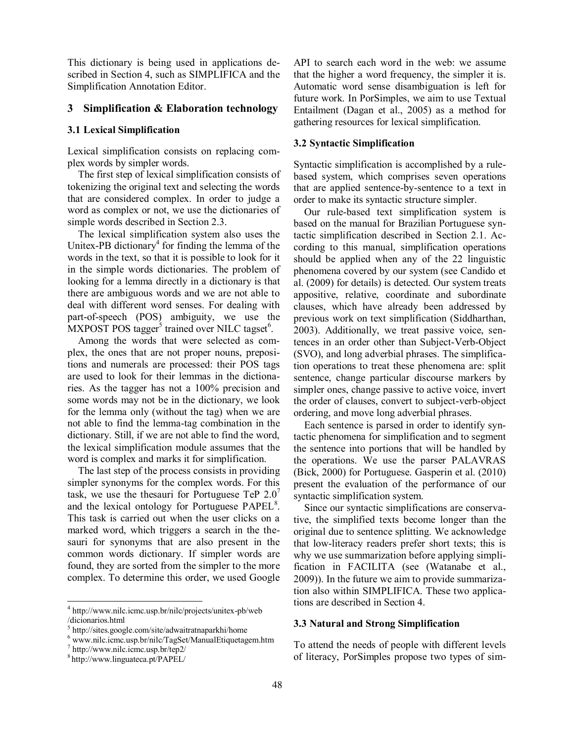This dictionary is being used in applications described in Section 4, such as SIMPLIFICA and the Simplification Annotation Editor.

## **3 Simplification & Elaboration technology**

#### **3.1 Lexical Simplification**

Lexical simplification consists on replacing complex words by simpler words.

The first step of lexical simplification consists of tokenizing the original text and selecting the words that are considered complex. In order to judge a word as complex or not, we use the dictionaries of simple words described in Section 2.3.

The lexical simplification system also uses the Unitex-PB dictionary<sup>4</sup> for finding the lemma of the words in the text, so that it is possible to look for it in the simple words dictionaries. The problem of looking for a lemma directly in a dictionary is that there are ambiguous words and we are not able to deal with different word senses. For dealing with part-of-speech (POS) ambiguity, we use the  $MXPOST$  POS tagger<sup>5</sup> trained over NILC tagset<sup>6</sup>.

Among the words that were selected as complex, the ones that are not proper nouns, prepositions and numerals are processed: their POS tags are used to look for their lemmas in the dictionaries. As the tagger has not a 100% precision and some words may not be in the dictionary, we look for the lemma only (without the tag) when we are not able to find the lemma-tag combination in the dictionary. Still, if we are not able to find the word, the lexical simplification module assumes that the word is complex and marks it for simplification.

The last step of the process consists in providing simpler synonyms for the complex words. For this task, we use the thesauri for Portuguese TeP  $2.0<sup>7</sup>$ and the lexical ontology for Portuguese PAPEL<sup>8</sup>. This task is carried out when the user clicks on a marked word, which triggers a search in the thesauri for synonyms that are also present in the common words dictionary. If simpler words are found, they are sorted from the simpler to the more complex. To determine this order, we used Google

 $\overline{\phantom{a}}$ 

API to search each word in the web: we assume that the higher a word frequency, the simpler it is. Automatic word sense disambiguation is left for future work. In PorSimples, we aim to use Textual Entailment (Dagan et al., 2005) as a method for gathering resources for lexical simplification.

#### **3.2 Syntactic Simplification**

Syntactic simplification is accomplished by a rulebased system, which comprises seven operations that are applied sentence-by-sentence to a text in order to make its syntactic structure simpler.

Our rule-based text simplification system is based on the manual for Brazilian Portuguese syntactic simplification described in Section 2.1. According to this manual, simplification operations should be applied when any of the 22 linguistic phenomena covered by our system (see Candido et al. (2009) for details) is detected. Our system treats appositive, relative, coordinate and subordinate clauses, which have already been addressed by previous work on text simplification (Siddharthan, 2003). Additionally, we treat passive voice, sentences in an order other than Subject-Verb-Object (SVO), and long adverbial phrases. The simplification operations to treat these phenomena are: split sentence, change particular discourse markers by simpler ones, change passive to active voice, invert the order of clauses, convert to subject-verb-object ordering, and move long adverbial phrases.

Each sentence is parsed in order to identify syntactic phenomena for simplification and to segment the sentence into portions that will be handled by the operations. We use the parser PALAVRAS (Bick, 2000) for Portuguese. Gasperin et al. (2010) present the evaluation of the performance of our syntactic simplification system.

Since our syntactic simplifications are conservative, the simplified texts become longer than the original due to sentence splitting. We acknowledge that low-literacy readers prefer short texts; this is why we use summarization before applying simplification in FACILITA (see (Watanabe et al., 2009)). In the future we aim to provide summarization also within SIMPLIFICA. These two applications are described in Section 4.

#### **3.3 Natural and Strong Simplification**

To attend the needs of people with different levels of literacy, PorSimples propose two types of sim-

<sup>4</sup> http://www.nilc.icmc.usp.br/nilc/projects/unitex-pb/web /dicionarios.html

<sup>5</sup> http://sites.google.com/site/adwaitratnaparkhi/home

<sup>6</sup> www.nilc.icmc.usp.br/nilc/TagSet/ManualEtiquetagem.htm

<sup>7</sup> http://www.nilc.icmc.usp.br/tep2/

<sup>8</sup> http://www.linguateca.pt/PAPEL/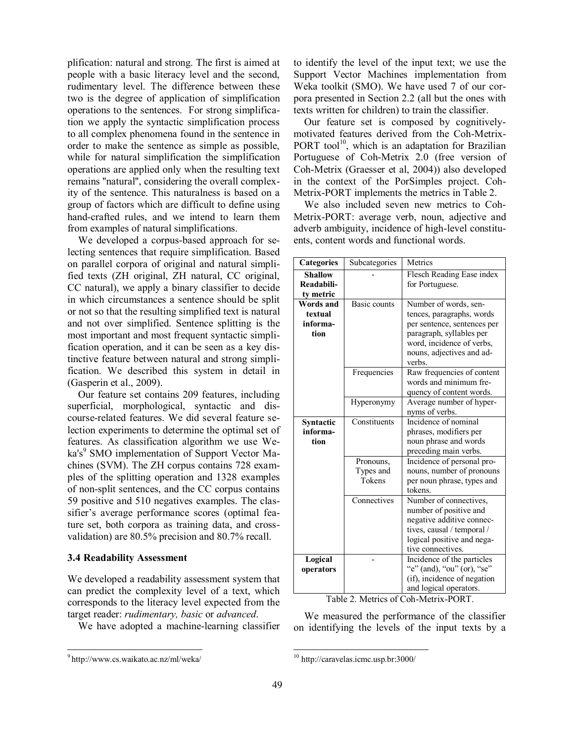plification: natural and strong. The first is aimed at people with a basic literacy level and the second, rudimentary level. The difference between these two is the degree of application of simplification operations to the sentences. For strong simplification we apply the syntactic simplification process to all complex phenomena found in the sentence in order to make the sentence as simple as possible, while for natural simplification the simplification operations are applied only when the resulting text remains ''natural'', considering the overall complexity of the sentence. This naturalness is based on a group of factors which are difficult to define using hand-crafted rules, and we intend to learn them from examples of natural simplifications.

We developed a corpus-based approach for selecting sentences that require simplification. Based on parallel corpora of original and natural simplified texts (ZH original, ZH natural, CC original, CC natural), we apply a binary classifier to decide in which circumstances a sentence should be split or not so that the resulting simplified text is natural and not over simplified. Sentence splitting is the most important and most frequent syntactic simplification operation, and it can be seen as a key distinctive feature between natural and strong simplification. We described this system in detail in (Gasperin et al., 2009).

Our feature set contains 209 features, including superficial, morphological, syntactic and discourse-related features. We did several feature selection experiments to determine the optimal set of features. As classification algorithm we use Weka's<sup>9</sup> SMO implementation of Support Vector Machines (SVM). The ZH corpus contains 728 examples of the splitting operation and 1328 examples of non-split sentences, and the CC corpus contains 59 positive and 510 negatives examples. The classifier's average performance scores (optimal feature set, both corpora as training data, and crossvalidation) are 80.5% precision and 80.7% recall.

## **3.4 Readability Assessment**

We developed a readability assessment system that can predict the complexity level of a text, which corresponds to the literacy level expected from the target reader: *rudimentary, basic* or *advanced*.

We have adopted a machine-learning classifier

 $\overline{a}$ 

to identify the level of the input text; we use the Support Vector Machines implementation from Weka toolkit (SMO). We have used 7 of our corpora presented in Section 2.2 (all but the ones with texts written for children) to train the classifier.

Our feature set is composed by cognitivelymotivated features derived from the Coh-Metrix-PORT tool<sup>10</sup>, which is an adaptation for Brazilian Portuguese of Coh-Metrix 2.0 (free version of Coh-Metrix (Graesser et al, 2004)) also developed in the context of the PorSimples project. Coh-Metrix-PORT implements the metrics in Table 2.

We also included seven new metrics to Coh-Metrix-PORT: average verb, noun, adjective and adverb ambiguity, incidence of high-level constituents, content words and functional words.

| <b>Categories</b>                               | Subcategories                    | Metrics                                                                                                                                                                           |
|-------------------------------------------------|----------------------------------|-----------------------------------------------------------------------------------------------------------------------------------------------------------------------------------|
| <b>Shallow</b><br>Readabili-<br>ty metric       |                                  | Flesch Reading Ease index<br>for Portuguese.                                                                                                                                      |
| <b>Words and</b><br>textual<br>informa-<br>tion | Basic counts                     | Number of words, sen-<br>tences, paragraphs, words<br>per sentence, sentences per<br>paragraph, syllables per<br>word, incidence of verbs,<br>nouns, adjectives and ad-<br>verbs. |
|                                                 | Frequencies                      | Raw frequencies of content<br>words and minimum fre-<br>quency of content words.                                                                                                  |
|                                                 | Hyperonymy                       | Average number of hyper-<br>nyms of verbs.                                                                                                                                        |
| Syntactic<br>informa-<br>tion                   | Constituents                     | Incidence of nominal<br>phrases, modifiers per<br>noun phrase and words<br>preceding main verbs.                                                                                  |
|                                                 | Pronouns,<br>Types and<br>Tokens | Incidence of personal pro-<br>nouns, number of pronouns<br>per noun phrase, types and<br>tokens.                                                                                  |
|                                                 | Connectives                      | Number of connectives,<br>number of positive and<br>negative additive connec-<br>tives, causal / temporal /<br>logical positive and nega-<br>tive connectives.                    |
| Logical<br>operators                            |                                  | Incidence of the particles<br>" $e$ " (and), " $ou$ " (or), " $se$ "<br>(if), incidence of negation<br>and logical operators.                                                     |

Table 2. Metrics of Coh-Metrix-PORT.

We measured the performance of the classifier on identifying the levels of the input texts by a

<sup>9</sup> http://www.cs.waikato.ac.nz/ml/weka/

 $10$  http://caravelas.icmc.usp.br:3000/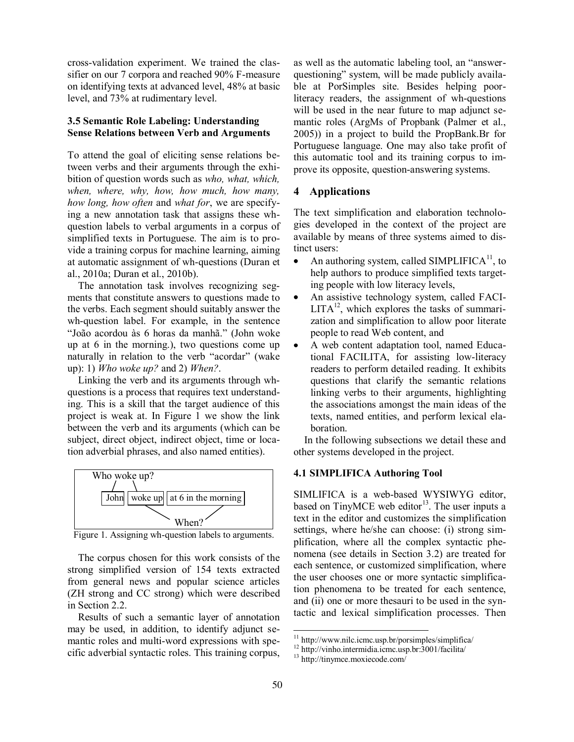cross-validation experiment. We trained the classifier on our 7 corpora and reached 90% F-measure on identifying texts at advanced level, 48% at basic level, and 73% at rudimentary level.

## **3.5 Semantic Role Labeling: Understanding Sense Relations between Verb and Arguments**

To attend the goal of eliciting sense relations between verbs and their arguments through the exhibition of question words such as *who, what, which, when, where, why, how, how much, how many, how long, how often* and *what for*, we are specifying a new annotation task that assigns these whquestion labels to verbal arguments in a corpus of simplified texts in Portuguese. The aim is to provide a training corpus for machine learning, aiming at automatic assignment of wh-questions (Duran et al., 2010a; Duran et al., 2010b).

The annotation task involves recognizing segments that constitute answers to questions made to the verbs. Each segment should suitably answer the wh-question label. For example, in the sentence "João acordou às 6 horas da manhã." (John woke up at 6 in the morning.), two questions come up naturally in relation to the verb "acordar" (wake up): 1) *Who woke up?* and 2) *When?*.

Linking the verb and its arguments through whquestions is a process that requires text understanding. This is a skill that the target audience of this project is weak at. In Figure 1 we show the link between the verb and its arguments (which can be subject, direct object, indirect object, time or location adverbial phrases, and also named entities).



Figure 1. Assigning wh-question labels to arguments.

The corpus chosen for this work consists of the strong simplified version of 154 texts extracted from general news and popular science articles (ZH strong and CC strong) which were described in Section 2.2.

Results of such a semantic layer of annotation may be used, in addition, to identify adjunct semantic roles and multi-word expressions with specific adverbial syntactic roles. This training corpus, as well as the automatic labeling tool, an "answerquestioning" system, will be made publicly available at PorSimples site. Besides helping poorliteracy readers, the assignment of wh-questions will be used in the near future to map adjunct semantic roles (ArgMs of Propbank (Palmer et al., 2005)) in a project to build the PropBank.Br for Portuguese language. One may also take profit of this automatic tool and its training corpus to improve its opposite, question-answering systems.

## **4 Applications**

The text simplification and elaboration technologies developed in the context of the project are available by means of three systems aimed to distinct users:

- An authoring system, called SIMPLIFICA<sup>11</sup>, to  $\bullet$ help authors to produce simplified texts targeting people with low literacy levels,
- An assistive technology system, called FACI- $\bullet$  $LITA^{12}$ , which explores the tasks of summarization and simplification to allow poor literate people to read Web content, and
- A web content adaptation tool, named Educa- $\bullet$ tional FACILITA, for assisting low-literacy readers to perform detailed reading. It exhibits questions that clarify the semantic relations linking verbs to their arguments, highlighting the associations amongst the main ideas of the texts, named entities, and perform lexical elaboration.

In the following subsections we detail these and other systems developed in the project.

#### **4.1 SIMPLIFICA Authoring Tool**

SIMLIFICA is a web-based WYSIWYG editor, based on TinyMCE web editor<sup>13</sup>. The user inputs a text in the editor and customizes the simplification settings, where he/she can choose: (i) strong simplification, where all the complex syntactic phenomena (see details in Section 3.2) are treated for each sentence, or customized simplification, where the user chooses one or more syntactic simplification phenomena to be treated for each sentence, and (ii) one or more thesauri to be used in the syntactic and lexical simplification processes. Then

<sup>11</sup> http://www.nilc.icmc.usp.br/porsimples/simplifica/

<sup>12</sup> http://vinho.intermidia.icmc.usp.br:3001/facilita/

<sup>13</sup> http://tinymce.moxiecode.com/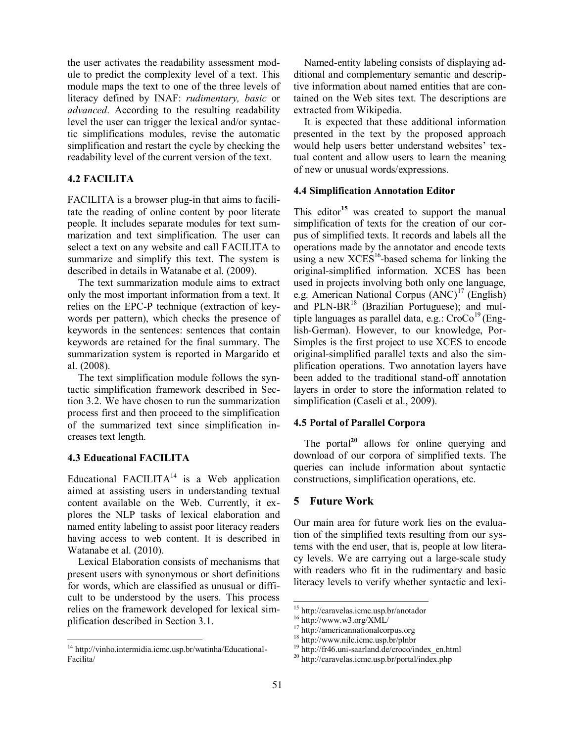the user activates the readability assessment module to predict the complexity level of a text. This module maps the text to one of the three levels of literacy defined by INAF: *rudimentary, basic* or *advanced*. According to the resulting readability level the user can trigger the lexical and/or syntactic simplifications modules, revise the automatic simplification and restart the cycle by checking the readability level of the current version of the text.

# **4.2 FACILITA**

FACILITA is a browser plug-in that aims to facilitate the reading of online content by poor literate people. It includes separate modules for text summarization and text simplification. The user can select a text on any website and call FACILITA to summarize and simplify this text. The system is described in details in Watanabe et al. (2009).

The text summarization module aims to extract only the most important information from a text. It relies on the EPC-P technique (extraction of keywords per pattern), which checks the presence of keywords in the sentences: sentences that contain keywords are retained for the final summary. The summarization system is reported in Margarido et al. (2008).

The text simplification module follows the syntactic simplification framework described in Section 3.2. We have chosen to run the summarization process first and then proceed to the simplification of the summarized text since simplification increases text length.

## **4.3 Educational FACILITA**

 $\overline{\phantom{a}}$ 

Educational FACILITA<sup>14</sup> is a Web application aimed at assisting users in understanding textual content available on the Web. Currently, it explores the NLP tasks of lexical elaboration and named entity labeling to assist poor literacy readers having access to web content. It is described in Watanabe et al. (2010).

Lexical Elaboration consists of mechanisms that present users with synonymous or short definitions for words, which are classified as unusual or difficult to be understood by the users. This process relies on the framework developed for lexical simplification described in Section 3.1.

Named-entity labeling consists of displaying additional and complementary semantic and descriptive information about named entities that are contained on the Web sites text. The descriptions are extracted from Wikipedia.

It is expected that these additional information presented in the text by the proposed approach would help users better understand websites' textual content and allow users to learn the meaning of new or unusual words/expressions.

## **4.4 Simplification Annotation Editor**

This editor**<sup>15</sup>** was created to support the manual simplification of texts for the creation of our corpus of simplified texts. It records and labels all the operations made by the annotator and encode texts using a new  $XCES<sup>16</sup>$ -based schema for linking the original-simplified information. XCES has been used in projects involving both only one language, e.g. American National Corpus  $(ANC)^{17}$  (English) and  $PLN-BR<sup>18</sup>$  (Brazilian Portuguese); and multiple languages as parallel data, e.g.:  $CroCo<sup>19</sup>$  (English-German). However, to our knowledge, Por-Simples is the first project to use XCES to encode original-simplified parallel texts and also the simplification operations. Two annotation layers have been added to the traditional stand-off annotation layers in order to store the information related to simplification (Caseli et al., 2009).

# **4.5 Portal of Parallel Corpora**

The portal<sup>20</sup> allows for online querying and download of our corpora of simplified texts. The queries can include information about syntactic constructions, simplification operations, etc.

## **5 Future Work**

Our main area for future work lies on the evaluation of the simplified texts resulting from our systems with the end user, that is, people at low literacy levels. We are carrying out a large-scale study with readers who fit in the rudimentary and basic literacy levels to verify whether syntactic and lexi-

<sup>&</sup>lt;sup>14</sup> http://vinho.intermidia.icmc.usp.br/watinha/Educational-Facilita/

<sup>15</sup> http://caravelas.icmc.usp.br/anotador

<sup>16</sup> http://www.w3.org/XML/

<sup>17</sup> http://americannationalcorpus.org

<sup>18</sup> http://www.nilc.icmc.usp.br/plnbr

<sup>&</sup>lt;sup>19</sup> http://fr46.uni-saarland.de/croco/index\_en.html

<sup>20</sup> http://caravelas.icmc.usp.br/portal/index.php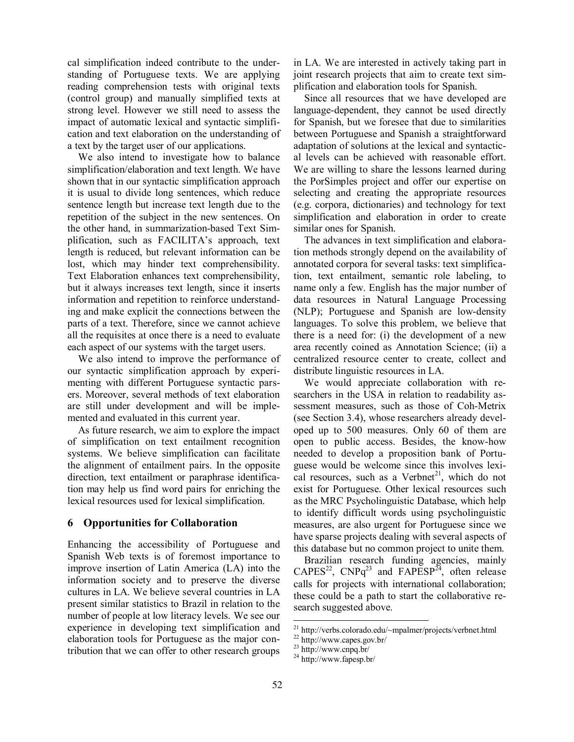cal simplification indeed contribute to the understanding of Portuguese texts. We are applying reading comprehension tests with original texts (control group) and manually simplified texts at strong level. However we still need to assess the impact of automatic lexical and syntactic simplification and text elaboration on the understanding of a text by the target user of our applications.

We also intend to investigate how to balance simplification/elaboration and text length. We have shown that in our syntactic simplification approach it is usual to divide long sentences, which reduce sentence length but increase text length due to the repetition of the subject in the new sentences. On the other hand, in summarization-based Text Simplification, such as FACILITA's approach, text length is reduced, but relevant information can be lost, which may hinder text comprehensibility. Text Elaboration enhances text comprehensibility, but it always increases text length, since it inserts information and repetition to reinforce understanding and make explicit the connections between the parts of a text. Therefore, since we cannot achieve all the requisites at once there is a need to evaluate each aspect of our systems with the target users.

We also intend to improve the performance of our syntactic simplification approach by experimenting with different Portuguese syntactic parsers. Moreover, several methods of text elaboration are still under development and will be implemented and evaluated in this current year.

As future research, we aim to explore the impact of simplification on text entailment recognition systems. We believe simplification can facilitate the alignment of entailment pairs. In the opposite direction, text entailment or paraphrase identification may help us find word pairs for enriching the lexical resources used for lexical simplification.

# **6 Opportunities for Collaboration**

Enhancing the accessibility of Portuguese and Spanish Web texts is of foremost importance to improve insertion of Latin America (LA) into the information society and to preserve the diverse cultures in LA. We believe several countries in LA present similar statistics to Brazil in relation to the number of people at low literacy levels. We see our experience in developing text simplification and elaboration tools for Portuguese as the major contribution that we can offer to other research groups

in LA. We are interested in actively taking part in joint research projects that aim to create text simplification and elaboration tools for Spanish.

Since all resources that we have developed are language-dependent, they cannot be used directly for Spanish, but we foresee that due to similarities between Portuguese and Spanish a straightforward adaptation of solutions at the lexical and syntactical levels can be achieved with reasonable effort. We are willing to share the lessons learned during the PorSimples project and offer our expertise on selecting and creating the appropriate resources (e.g. corpora, dictionaries) and technology for text simplification and elaboration in order to create similar ones for Spanish.

The advances in text simplification and elaboration methods strongly depend on the availability of annotated corpora for several tasks: text simplification, text entailment, semantic role labeling, to name only a few. English has the major number of data resources in Natural Language Processing (NLP); Portuguese and Spanish are low-density languages. To solve this problem, we believe that there is a need for: (i) the development of a new area recently coined as Annotation Science; (ii) a centralized resource center to create, collect and distribute linguistic resources in LA.

We would appreciate collaboration with researchers in the USA in relation to readability assessment measures, such as those of Coh-Metrix (see Section 3.4), whose researchers already developed up to 500 measures. Only 60 of them are open to public access. Besides, the know-how needed to develop a proposition bank of Portuguese would be welcome since this involves lexical resources, such as a Verbnet<sup>21</sup>, which do not exist for Portuguese. Other lexical resources such as the MRC Psycholinguistic Database, which help to identify difficult words using psycholinguistic measures, are also urgent for Portuguese since we have sparse projects dealing with several aspects of this database but no common project to unite them.

Brazilian research funding agencies, mainly  $CAPES^{22}$ ,  $CNPq^{23}$  and  $FAPESP^{24}$ , often release calls for projects with international collaboration; these could be a path to start the collaborative research suggested above.

<sup>21</sup> http://verbs.colorado.edu/~mpalmer/projects/verbnet.html

<sup>22</sup> http://www.capes.gov.br/

 $23$  http://www.cnpq.br/

 $24 \text{ http://www.fapesp.br/}$